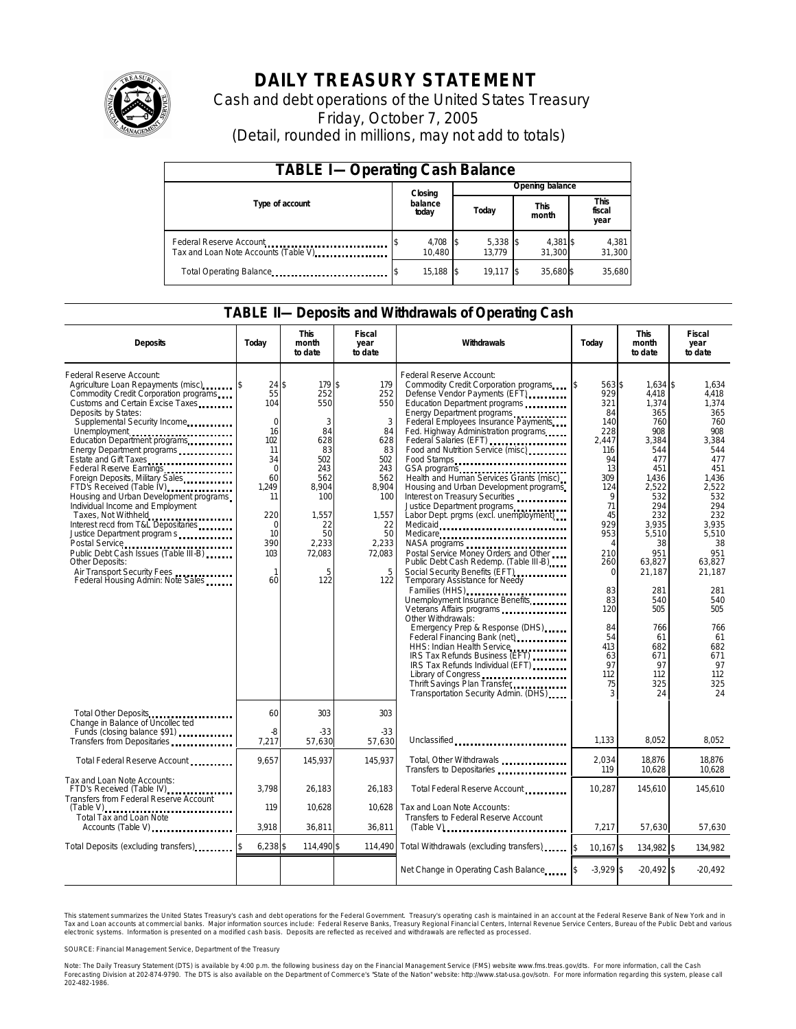

# **DAILY TREASURY STATEMENT**

Cash and debt operations of the United States Treasury Friday, October 7, 2005 (Detail, rounded in millions, may not add to totals)

| <b>TABLE I-Operating Cash Balance</b>                            |  |                    |  |                      |  |                      |  |                               |
|------------------------------------------------------------------|--|--------------------|--|----------------------|--|----------------------|--|-------------------------------|
|                                                                  |  | Closing            |  | Opening balance      |  |                      |  |                               |
| Type of account                                                  |  | balance<br>today   |  | Today                |  | <b>This</b><br>month |  | <b>This</b><br>fiscal<br>year |
| Federal Reserve Account<br>Tax and Loan Note Accounts (Table V). |  | 4,708 \$<br>10.480 |  | $5,338$ \$<br>13.779 |  | 4,381 \$<br>31.300   |  | 4,381<br>31,300               |
| Total Operating Balance                                          |  | 15,188 \$          |  | $19.117$ \\$         |  | 35.680\$             |  | 35,680                        |

### **TABLE II—Deposits and Withdrawals of Operating Cash**

| <b>Deposits</b>                                                                                                                                                                                                                                                                                                                                                                                                                                                                                                                                                                                                                                                                                                         | Todav                                                                                                                                                         | <b>This</b><br>month<br>to date                                                                                                       | Fiscal<br>year<br>to date                                                                                                          | Withdrawals                                                                                                                                                                                                                                                                                                                                                                                                                                                                                                                                                                                                                                                                                                                                                                                                                                                                                                                                                                                                                                                                                                                                                                                                                                                                                                             | Todav                                                                                                                                                                                                                            | <b>This</b><br>month<br>to date                                                                                                                                                                                                                   | Fiscal<br>year<br>to date                                                                                                                                                                                                                      |
|-------------------------------------------------------------------------------------------------------------------------------------------------------------------------------------------------------------------------------------------------------------------------------------------------------------------------------------------------------------------------------------------------------------------------------------------------------------------------------------------------------------------------------------------------------------------------------------------------------------------------------------------------------------------------------------------------------------------------|---------------------------------------------------------------------------------------------------------------------------------------------------------------|---------------------------------------------------------------------------------------------------------------------------------------|------------------------------------------------------------------------------------------------------------------------------------|-------------------------------------------------------------------------------------------------------------------------------------------------------------------------------------------------------------------------------------------------------------------------------------------------------------------------------------------------------------------------------------------------------------------------------------------------------------------------------------------------------------------------------------------------------------------------------------------------------------------------------------------------------------------------------------------------------------------------------------------------------------------------------------------------------------------------------------------------------------------------------------------------------------------------------------------------------------------------------------------------------------------------------------------------------------------------------------------------------------------------------------------------------------------------------------------------------------------------------------------------------------------------------------------------------------------------|----------------------------------------------------------------------------------------------------------------------------------------------------------------------------------------------------------------------------------|---------------------------------------------------------------------------------------------------------------------------------------------------------------------------------------------------------------------------------------------------|------------------------------------------------------------------------------------------------------------------------------------------------------------------------------------------------------------------------------------------------|
| Federal Reserve Account:<br>Agriculture Loan Repayments (misc)<br>Commodity Credit Corporation programs<br>Customs and Certain Excise Taxes<br>Deposits by States:<br>Supplemental Security Income<br>Unemployment<br>Education Department programs<br><br>Energy Department programs<br>Estate and Gift Taxes<br>Federal Reserve Earnings<br>Foreign Deposits, Military Sales<br>FTD's Received (Table IV)<br>Housing and Urban Development programs<br>Individual Income and Employment<br>Taxes, Not Withheld<br>Interest recd from T&L Depositaries<br>Justice Department program s<br>Public Debt Cash Issues (Table III-B)<br>Other Deposits:<br>Air Transport Security Fees<br>Federal Housing Admin: Note Sales | $24$ \$<br>55<br>104<br>$\mathbf 0$<br>16<br>102<br>11<br>34<br>$\Omega$<br>60<br>1,249<br>11<br>220<br>$\mathbf 0$<br>10<br>390<br>103<br>$\mathbf{1}$<br>60 | 179 \$<br>252<br>550<br>3<br>84<br>628<br>83<br>502<br>243<br>562<br>8,904<br>100<br>1,557<br>22<br>50<br>2,233<br>72,083<br>5<br>122 | 179<br>252<br>550<br>3<br>84<br>628<br>83<br>502<br>243<br>562<br>8,904<br>100<br>1,557<br>22<br>50<br>2,233<br>72,083<br>5<br>122 | Federal Reserve Account:<br>Commodity Credit Corporation programs<br>Defense Vendor Payments (EFT) ________<br>Education Department programs<br>Energy Department programs<br>Federal Employees Insurance Payments<br>Fed. Highway Administration programs<br>Federal Salaries (EFT)<br>Food and Nutrition Service (misc)<br>Food Stamps<br>Health and Human Services Grants (misc)<br>Housing and Urban Development programs<br>Interest on Treasury Securities<br>Justice Department programs<br>Labor Dept. prgms (excl. unemployment)<br>Medicaid<br>Medicare<br>Postal Service Money Orders and Other<br>Public Debt Cash Redemp. (Table III-B)<br>Social Security Benefits (EFT)<br><br>Temporary Assistance for Needy<br>Families (HHS)<br>Unemployment Insurance Benefits<br>Veterans Affairs programs<br>Other Withdrawals:<br>Emergency Prep & Response (DHS)<br>Federal Financing Bank (net)<br>1991 - The Manus Federal Bank (net)<br>1991 - The Manus Federal Bank (net)<br>1992 - The Manus Federal Bank (net)<br>1993 - The Manus Federal Bank (net)<br>1993 - The Manus Federal Bank (net)<br>1993 -<br>HHS: Indian Health Service<br>IRS Tax Refunds Business (EFT)<br>IRS Tax Refunds Individual (EFT)<br>Library of Congress<br>Thrift Savings Plan Transfer<br>Transportation Security Admin. (DHS) | 563\$<br>929<br>321<br>84<br>140<br>228<br>2,447<br>116<br>94<br>13<br>309<br>124<br>9<br>71<br>45<br>929<br>953<br>$\overline{A}$<br>210<br>260<br>$\Omega$<br>83<br>83<br>120<br>84<br>54<br>413<br>63<br>97<br>112<br>75<br>3 | 1,634 \$<br>4,418<br>1,374<br>365<br>760<br>908<br>3,384<br>544<br>477<br>451<br>1,436<br>2,522<br>532<br>294<br>232<br>3.935<br>5,510<br>38<br>951<br>63,827<br>21,187<br>281<br>540<br>505<br>766<br>61<br>682<br>671<br>97<br>112<br>325<br>24 | 1,634<br>4.418<br>1.374<br>365<br>760<br>908<br>3,384<br>544<br>477<br>451<br>1,436<br>2,522<br>532<br>294<br>232<br>3.935<br>5,510<br>38<br>951<br>63.827<br>21,187<br>281<br>540<br>505<br>766<br>61<br>682<br>671<br>97<br>112<br>325<br>24 |
| Total Other Deposits<br>Change in Balance of Uncollec ted<br>Funds (closing balance \$91)<br>Funds (closing balance \$91)                                                                                                                                                                                                                                                                                                                                                                                                                                                                                                                                                                                               | 60<br>$\overline{\mathcal{S}}$                                                                                                                                | 303<br>$-33$                                                                                                                          | 303<br>$-33$                                                                                                                       |                                                                                                                                                                                                                                                                                                                                                                                                                                                                                                                                                                                                                                                                                                                                                                                                                                                                                                                                                                                                                                                                                                                                                                                                                                                                                                                         |                                                                                                                                                                                                                                  |                                                                                                                                                                                                                                                   |                                                                                                                                                                                                                                                |
| Transfers from Depositaries                                                                                                                                                                                                                                                                                                                                                                                                                                                                                                                                                                                                                                                                                             | 7,217                                                                                                                                                         | 57,630                                                                                                                                | 57,630                                                                                                                             | Unclassified                                                                                                                                                                                                                                                                                                                                                                                                                                                                                                                                                                                                                                                                                                                                                                                                                                                                                                                                                                                                                                                                                                                                                                                                                                                                                                            | 1,133                                                                                                                                                                                                                            | 8,052                                                                                                                                                                                                                                             | 8,052                                                                                                                                                                                                                                          |
| Total Federal Reserve Account                                                                                                                                                                                                                                                                                                                                                                                                                                                                                                                                                                                                                                                                                           | 9,657                                                                                                                                                         | 145,937                                                                                                                               | 145.937                                                                                                                            | Total, Other Withdrawals<br>Transfers to Depositaries                                                                                                                                                                                                                                                                                                                                                                                                                                                                                                                                                                                                                                                                                                                                                                                                                                                                                                                                                                                                                                                                                                                                                                                                                                                                   | 2,034<br>119                                                                                                                                                                                                                     | 18.876<br>10,628                                                                                                                                                                                                                                  | 18,876<br>10,628                                                                                                                                                                                                                               |
| Tax and Loan Note Accounts:<br>FTD's Received (Table IV)<br>Transfers from Federal Reserve Account                                                                                                                                                                                                                                                                                                                                                                                                                                                                                                                                                                                                                      | 3.798                                                                                                                                                         | 26,183                                                                                                                                | 26.183                                                                                                                             | Total Federal Reserve Account                                                                                                                                                                                                                                                                                                                                                                                                                                                                                                                                                                                                                                                                                                                                                                                                                                                                                                                                                                                                                                                                                                                                                                                                                                                                                           | 10.287                                                                                                                                                                                                                           | 145.610                                                                                                                                                                                                                                           | 145.610                                                                                                                                                                                                                                        |
| $(Table V)$<br>Total Tax and Loan Note<br>Accounts (Table V)                                                                                                                                                                                                                                                                                                                                                                                                                                                                                                                                                                                                                                                            | 119<br>3,918                                                                                                                                                  | 10,628<br>36,811                                                                                                                      | 10,628<br>36,811                                                                                                                   | Tax and Loan Note Accounts:<br>Transfers to Federal Reserve Account<br>$(Table V)$                                                                                                                                                                                                                                                                                                                                                                                                                                                                                                                                                                                                                                                                                                                                                                                                                                                                                                                                                                                                                                                                                                                                                                                                                                      | 7,217                                                                                                                                                                                                                            | 57,630                                                                                                                                                                                                                                            | 57,630                                                                                                                                                                                                                                         |
| Total Deposits (excluding transfers)                                                                                                                                                                                                                                                                                                                                                                                                                                                                                                                                                                                                                                                                                    | $6,238$ \$                                                                                                                                                    | 114,490 \$                                                                                                                            | 114,490                                                                                                                            | Total Withdrawals (excluding transfers)                                                                                                                                                                                                                                                                                                                                                                                                                                                                                                                                                                                                                                                                                                                                                                                                                                                                                                                                                                                                                                                                                                                                                                                                                                                                                 | 10.167 \$<br>l\$                                                                                                                                                                                                                 | 134.982 \$                                                                                                                                                                                                                                        | 134,982                                                                                                                                                                                                                                        |
|                                                                                                                                                                                                                                                                                                                                                                                                                                                                                                                                                                                                                                                                                                                         |                                                                                                                                                               |                                                                                                                                       |                                                                                                                                    | Net Change in Operating Cash Balance                                                                                                                                                                                                                                                                                                                                                                                                                                                                                                                                                                                                                                                                                                                                                                                                                                                                                                                                                                                                                                                                                                                                                                                                                                                                                    | $-3,929$ \$                                                                                                                                                                                                                      | $-20.492$ \$                                                                                                                                                                                                                                      | $-20.492$                                                                                                                                                                                                                                      |

This statement summarizes the United States Treasury's cash and debt operations for the Federal Government. Treasury's operating cash is maintained in an account at the Federal Reserve Bank of New York and in Tax and Loan accounts at commercial banks. Major information sources include: Federal Reserve Banks, Treasury Regional Financial Centers, Internal Revenue Service Centers, Bureau of the Public Debt and various<br>electronic s

SOURCE: Financial Management Service, Department of the Treasury

Note: The Daily Treasury Statement (DTS) is available by 4:00 p.m. the following business day on the Financial Management Service (FMS) website www.fms.treas.gov/dts.<br>Forecasting Division at 202-874-9790. The DTS is also a 'S) is available by 4:00 p.m. the following business day on the Financial Management Service (FMS) website www.fms.treas.gov/dts. For more information, call the Cash<br>The DTS is also available on the Department of Commerce'